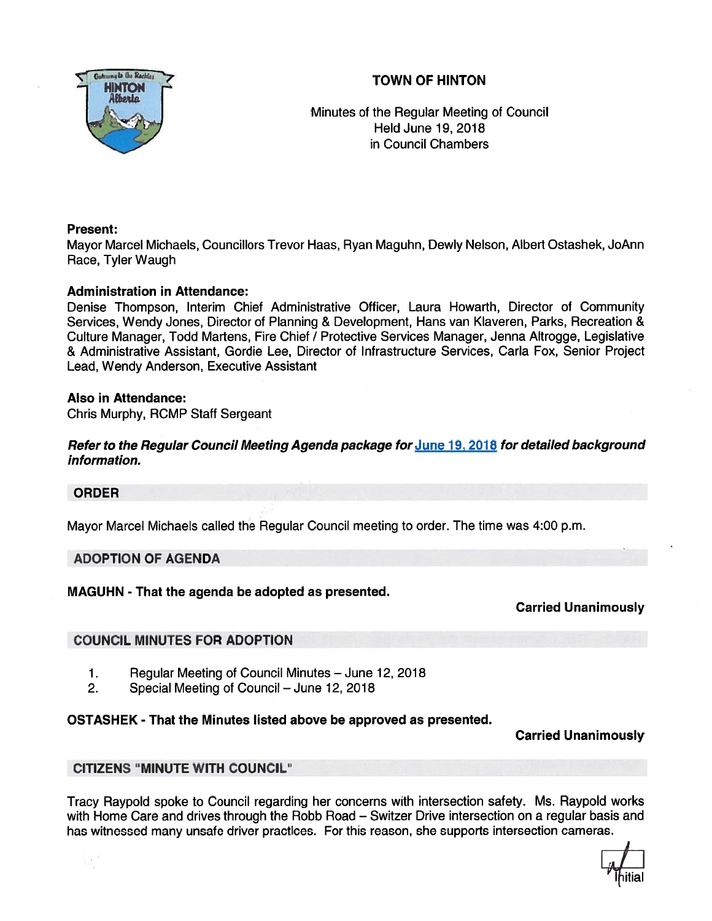TOWN OF HINTON



Minutes of the Regular Meeting of Council Held June 19, 2018 in Council Chambers

## Present:

Mayor Marcel Michaels, Councillors Trevor Haas, Ryan Maguhn, Dewly Nelson, Albert Ostashek, JoAnn Race, Tyler Waugh

## Administration in Attendance:

Denise Thompson, Interim Chief Administrative Officer, Laura Howarth, Director of Community Services, Wendy Jones, Director of Planning & Development, Hans van Klaveren, Parks, Recreation & Culture Manager, Todd Martens, Fire Chief I Protective Services Manager, Jenna Altrogge, Legislative & Administrative Assistant, Gordie Lee, Director of Infrastructure Services, Carla Fox, Senior Project Lead, Wendy Anderson, Executive Assistant

## Also in Attendance:

Chris Murphy, RCMP Staff Sergeant

Refer to the Regular Council Meeting Agenda package for June 19, 2018 for detailed background information.

#### ORDER

 $\mathcal{L}$ 

Mayor Marcel Michaels called the Regular Council meeting to order. The time was 4:00 p.m.

#### ADOPTION OF AGENDA

MAGUHN - That the agenda be adopted as presented.

Carried Unanimously

# COUNCIL MINUTES FOR ADOPTION

- 1. Regular Meeting of Council Minutes June 12, 2018
- 2. Special Meeting of Council June 12, 2018

# OSTASHEK - That the Minutes listed above be approved as presented.

Carried Unanimously

#### CITIZENS "MINUTE WITH COUNCIL"

Tracy Raypold spoke to Council regarding her concerns with intersection safety. Ms. Raypold works with Home Care and drives through the Robb Road — Switzer Drive intersection on <sup>a</sup> regular basis and has witnessed many unsafe driver practices. For this reason, she supports intersection cameras.

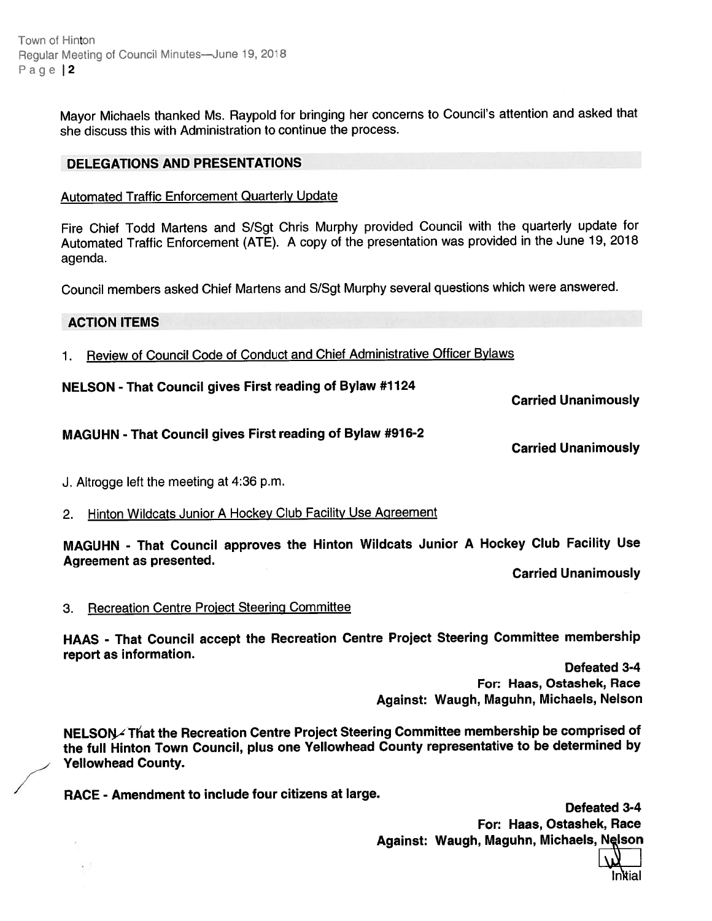Town of Hinton Reqular Meeting of Council Minutes—June 19, 2018 Page 12

> Mayor Michaels thanked Ms. Raypold for bringing her concerns to Council's attention and asked that she discuss this with Administration to continue the process.

#### DELEGATIONS AND PRESENTATIONS

#### Automated Traffic Enforcement Quarterly Update

Fire Chief Todd Martens and S/Sgt Chris Murphy provided Council with the quarterly update for Automated Traffic Enforcement (ATE). <sup>A</sup> copy of the presentation was provided in the June 19, <sup>2018</sup> agenda.

Council members asked Chief Martens and S/Sgt Murphy several questions which were answered.

#### ACTION ITEMS

1. Review of Council Code of Conduct and Chief Administrative Officer Bylaws

NELSON -That Council <sup>g</sup>ives First reading of Bylaw #7124

Carried Unanimously

#### MAGUHN - That Council <sup>g</sup>ives First reading of Bylaw #976-2

Carried Unanimously

- J. Altrogge left the meeting at 4:36 p.m.
- 2. Hinton Wildcats Junior A Hockey Club Facility Use Agreement

MAGUHN - That Council approves the Hinton Wildcats Junior <sup>A</sup> Hockey Club Facility Use Agreement as presented.

Carried Unanimously

3. Recreation Centre Project Steering Committee

HAAS - That Council accep<sup>t</sup> the Recreation Centre Project Steering Committee membership repor<sup>t</sup> as information.

Defeated 3-4 For: Haas, Ostashek, Race Against: Waugh, Maguhn, Michaels, Nelson

NELSON- That the Recreation Centre Project Steering Committee membership be comprised of the full Hinton Town Council, <sup>p</sup>lus one Yellowhead County representative to be determined by Yellowhead County.

RACE - Amendment to include four citizens at large.

Defeated 3-4 For: Haas, Ostashek, Race Against: Waugh, Maguhn, Michaels, Nelson

In ial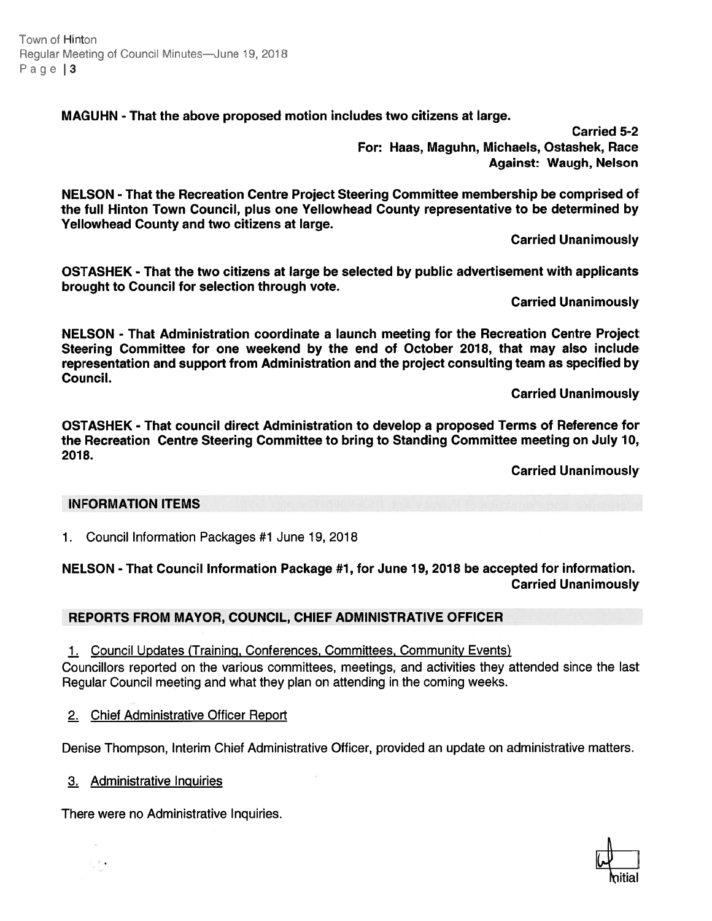Town of Hinton Regular Meeting of Council Minutes—June 19, 2018 Page | 3

MAGUHN - That the above proposed motion includes two citizens at large.

Carried 5-2 For: Haas, Maguhn, Michaels, Ostashek, Race Against: Waugh, Nelson

NELSON - That the Recreation Centre Project Steering Committee membership be comprised of the full Hinton Town Council, plus one Yellowhead County representative to be determined by Yellowhead County and two citizens at large.

Carried Unanimously

OSTASHEK - That the two citizens at large be selected by public advertisement with applicants brought to Council for selection through vote.

Carried Unanimously

NELSON - That Administration coordinate <sup>a</sup> launch meeting for the Recreation Centre Project Steering Committee for one weekend by the end of October 2018, that may also include representation and suppor<sup>t</sup> from Administration and the project consulting team as specified by Council.

Carried Unanimously

OSTASHEK - That council direct Administration to develop <sup>a</sup> proposed Terms of Reference for the Recreation Centre Steering Committee to bring to Standing Committee meeting on July 10, 2018.

Carried Unanimously

#### INFORMATION ITEMS

1. Council Information Packages #1 June 19, 2018

# NELSON - That Council Information Package #1, for June 19, 2018 be accepted for information. Carried Unanimously

# REPORTS FROM MAYOR, COUNCIL, CHIEF ADMINISTRATIVE OFFICER

1. Council Updates (Training, Conferences, Committees, Community Events)

Councillors reported on the various committees, meetings, and activities they attended since the last Regular Council meeting and what they plan on attending in the coming weeks.

2. Chief Administrative Officer Report

Denise Thompson, Interim Chief Administrative Officer, provided an update on administrative matters.

3. Administrative Inquiries

 $\rightarrow$ 

There were no Administrative Inquiries.

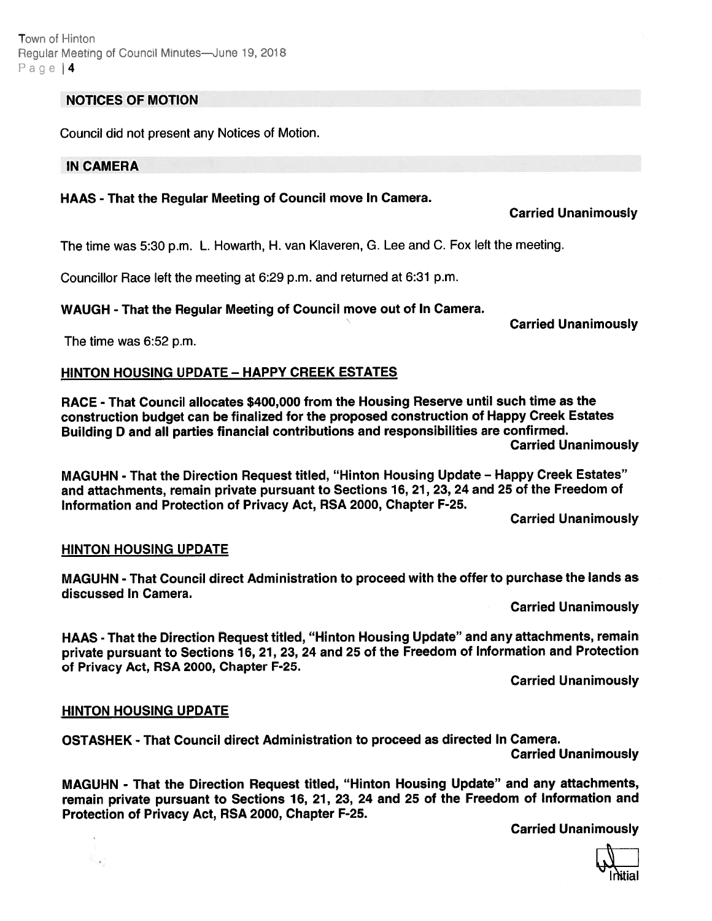Town cf Hinton Regulat Meeting of Council Minutes—June 19, 2018 Page | 4

#### NOTICES OF MOTION

Council did not presen<sup>t</sup> any Notices of Motion.

#### IN CAMERA

# HAAS - That the Regular Meeting of Council move In Camera.

# Carried Unanimously

The time was 5:30 p.m. L. Howarth, H. van Klaveren, G. Lee and C. Fox left the meeting.

Councillor Race left the meeting at 6:29 p.m. and returned at 6:31 p.m.

WAUGH - That the Regular Meeting of Council move out of In Camera.

Carried Unanimously

The time was 6:52 p.m.

## HINTON HOUSING UPDATE - HAPPY CREEK ESTATES

RACE - That Council allocates \$400,000 from the Housing Reserve until such time as the construction budget can be finalized for the propose<sup>d</sup> construction of Happy Creek Estates Building <sup>D</sup> and all parties financial contributions and responsibilities are confirmed. Carried Unanimously

MAGUHN -That the Direction Request titled, "Hinton Housing Update — Happy Creek Estates" and attachments, remain private pursuan<sup>t</sup> to Sections 16, 21, 23, <sup>24</sup> and 25 of the Freedom of Information and Protection of Privacy Act, RSA 2000, Chapter F-25.

Carried Unanimously

#### HINTON HOUSING UPDATE

MAGUHN - That Council direct Administration to proceed with the offer to purchase the lands as discussed In Camera.

Carried Unanimously

HAAS - That the Direction Request titled, "Hinton Housing Update" and any attachments, remain private pursuan<sup>t</sup> to Sections 16, 21, 23, <sup>24</sup> and <sup>25</sup> of the Freedom of Information and Protection of Privacy Act, RSA 2000, Chapter F-25.

Carried Unanimously

#### HINTON HOUSING UPDATE

 $\sim$  .

OSTASHEK - That Council direct Administration to proceed as directed In Camera.

Carried Unanimously

MAGUHN - That the Direction Request titled, "Hinton Housing Update" and any attachments, remain private pursuan<sup>t</sup> to Sections 16, 21, 23, <sup>24</sup> and <sup>25</sup> of the Freedom of Information and Protection of Privacy Act, RSA 2000, Chapter F-25.

Carried Unanimously

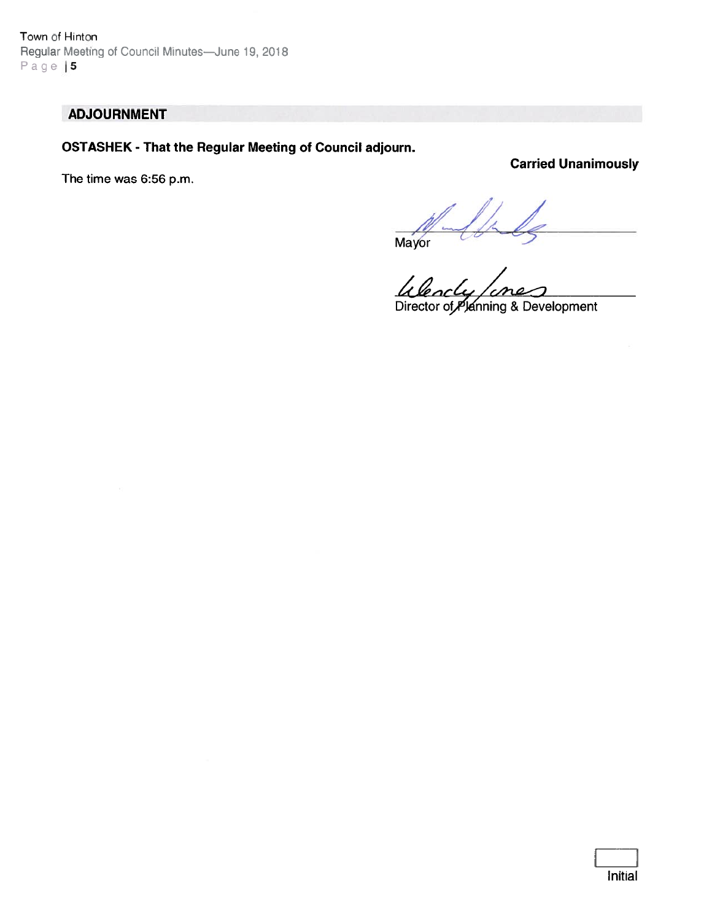Town of Hinton Regular Meeting of Council Minutes-June 19, 2018 Page  $|5$ 

# ADJOURNMENT

# OSTASHEK -That the Regular Meeting of Council adjourn.

The time was 6:56 p.m.

Carried Unanimously

Mayor  $\sim$ 

Director of Planning & Development